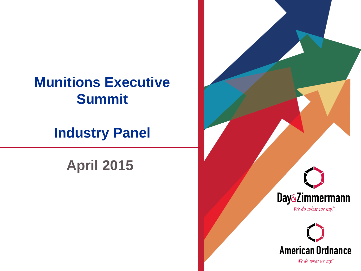## **Munitions Executive Summit**

## **Industry Panel**

## **April 2015**

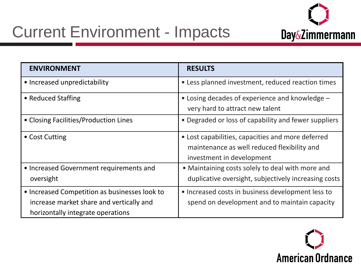

## Current Environment - Impacts

| <b>ENVIRONMENT</b>                                                                                                             | <b>RESULTS</b>                                                                                                                |
|--------------------------------------------------------------------------------------------------------------------------------|-------------------------------------------------------------------------------------------------------------------------------|
| • Increased unpredictability                                                                                                   | • Less planned investment, reduced reaction times                                                                             |
| • Reduced Staffing                                                                                                             | • Losing decades of experience and knowledge -<br>very hard to attract new talent                                             |
| • Closing Facilities/Production Lines                                                                                          | • Degraded or loss of capability and fewer suppliers                                                                          |
| • Cost Cutting                                                                                                                 | • Lost capabilities, capacities and more deferred<br>maintenance as well reduced flexibility and<br>investment in development |
| • Increased Government requirements and<br>oversight                                                                           | • Maintaining costs solely to deal with more and<br>duplicative oversight, subjectively increasing costs                      |
| • Increased Competition as businesses look to<br>increase market share and vertically and<br>horizontally integrate operations | • Increased costs in business development less to<br>spend on development and to maintain capacity                            |

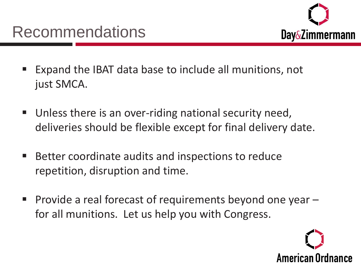

- Expand the IBAT data base to include all munitions, not just SMCA.
- Unless there is an over-riding national security need, deliveries should be flexible except for final delivery date.
- Better coordinate audits and inspections to reduce repetition, disruption and time.
- **Provide a real forecast of requirements beyond one year**  $$ for all munitions. Let us help you with Congress.